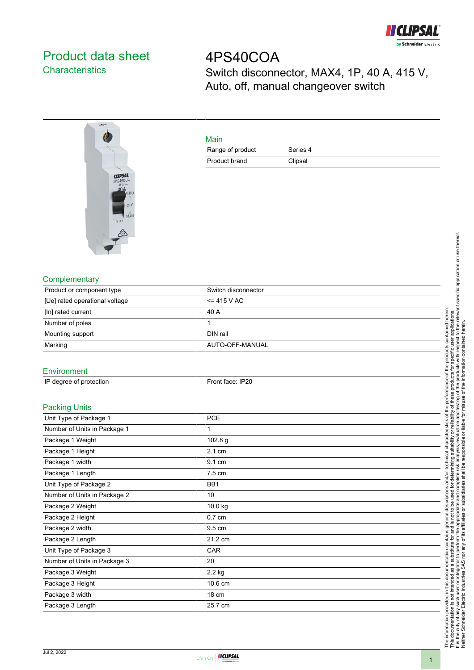

## Product data sheet **Characteristics**

4PS40COA Switch disconnector, MAX4, 1P, 40 A, 415 V, Auto, off, manual changeover switch



| Main             |          |  |
|------------------|----------|--|
| Range of product | Series 4 |  |
| Product brand    | Clipsal  |  |

## **Complementary**

| Product or component type      | Switch disconnector |  |
|--------------------------------|---------------------|--|
| [Ue] rated operational voltage | $= 415 V AC$        |  |
| [In] rated current             | 40 A                |  |
| Number of poles                |                     |  |
| Mounting support               | DIN rail            |  |
| Marking                        | AUTO-OFF-MANUAL     |  |
|                                |                     |  |

## Environment

| IP degree of protection | Front face: IP20 |
|-------------------------|------------------|
|                         |                  |

## Packing Units

| i auniiy Uliito              |                  |  |
|------------------------------|------------------|--|
| Unit Type of Package 1       | <b>PCE</b>       |  |
| Number of Units in Package 1 | 1                |  |
| Package 1 Weight             | 102.8 g          |  |
| Package 1 Height             | 2.1 cm           |  |
| Package 1 width              | 9.1 cm           |  |
| Package 1 Length             | 7.5 cm           |  |
| Unit Type of Package 2       | BB1              |  |
| Number of Units in Package 2 | 10               |  |
| Package 2 Weight             | 10.0 kg          |  |
| Package 2 Height             | $0.7 \text{ cm}$ |  |
| Package 2 width              | 9.5 cm           |  |
| Package 2 Length             | 21.2 cm          |  |
| Unit Type of Package 3       | CAR              |  |
| Number of Units in Package 3 | 20               |  |
| Package 3 Weight             | 2.2 kg           |  |
| Package 3 Height             | 10.6 cm          |  |
| Package 3 width              | 18 cm            |  |
| Package 3 Length             | 25.7 cm          |  |
|                              |                  |  |